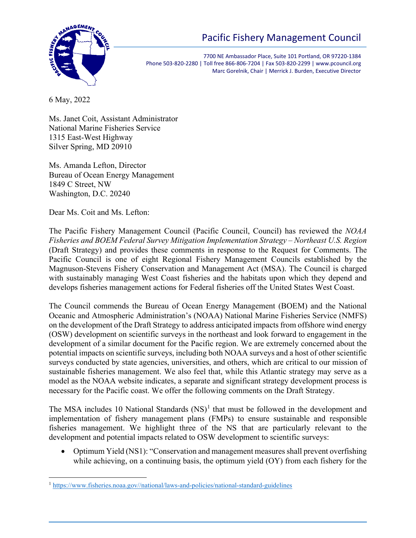



7700 NE Ambassador Place, Suite 101 Portland, OR 97220-1384 Phone 503-820-2280 | Toll free 866-806-7204 | Fax 503-820-2299 | www.pcouncil.org Marc Gorelnik, Chair | Merrick J. Burden, Executive Director

6 May, 2022

Ms. Janet Coit, Assistant Administrator National Marine Fisheries Service 1315 East-West Highway Silver Spring, MD 20910

Ms. Amanda Lefton, Director Bureau of Ocean Energy Management 1849 C Street, NW Washington, D.C. 20240

Dear Ms. Coit and Ms. Lefton:

The Pacific Fishery Management Council (Pacific Council, Council) has reviewed the *NOAA Fisheries and BOEM Federal Survey Mitigation Implementation Strategy – Northeast U.S. Region* (Draft Strategy) and provides these comments in response to the Request for Comments. The Pacific Council is one of eight Regional Fishery Management Councils established by the Magnuson-Stevens Fishery Conservation and Management Act (MSA). The Council is charged with sustainably managing West Coast fisheries and the habitats upon which they depend and develops fisheries management actions for Federal fisheries off the United States West Coast.

The Council commends the Bureau of Ocean Energy Management (BOEM) and the National Oceanic and Atmospheric Administration's (NOAA) National Marine Fisheries Service (NMFS) on the development of the Draft Strategy to address anticipated impacts from offshore wind energy (OSW) development on scientific surveys in the northeast and look forward to engagement in the development of a similar document for the Pacific region. We are extremely concerned about the potential impacts on scientific surveys, including both NOAA surveys and a host of other scientific surveys conducted by state agencies, universities, and others, which are critical to our mission of sustainable fisheries management. We also feel that, while this Atlantic strategy may serve as a model as the NOAA website indicates, a separate and significant strategy development process is necessary for the Pacific coast. We offer the following comments on the Draft Strategy.

The MSA includes [1](#page-0-0)0 National Standards  $(NS)^1$  that must be followed in the development and implementation of fishery management plans (FMPs) to ensure sustainable and responsible fisheries management. We highlight three of the NS that are particularly relevant to the development and potential impacts related to OSW development to scientific surveys:

• Optimum Yield (NS1): "Conservation and management measures shall prevent overfishing while achieving, on a continuing basis, the optimum yield (OY) from each fishery for the

<span id="page-0-0"></span><sup>1</sup> [https://www.fisheries.noaa.gov//national/laws-and-policies/national-standard-guidelines](https://www.fisheries.noaa.gov/national/laws-and-policies/national-standard-guidelines)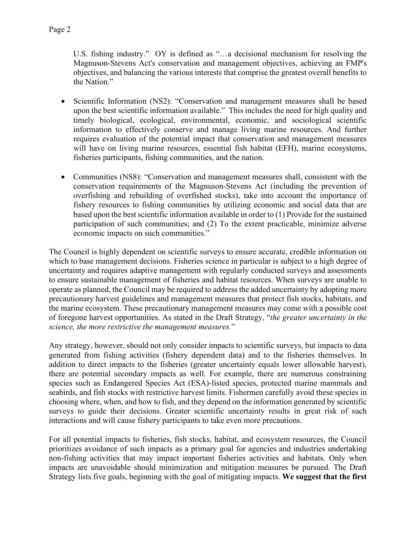U.S. fishing industry." OY is defined as "…a decisional mechanism for resolving the Magnuson-Stevens Act's conservation and management objectives, achieving an FMP's objectives, and balancing the various interests that comprise the greatest overall benefits to the Nation."

- Scientific Information (NS2): "Conservation and management measures shall be based upon the best scientific information available." This includes the need for high quality and timely biological, ecological, environmental, economic, and sociological scientific information to effectively conserve and manage living marine resources. And further requires evaluation of the potential impact that conservation and management measures will have on living marine resources, essential fish habitat (EFH), marine ecosystems, fisheries participants, fishing communities, and the nation.
- Communities (NS8): "Conservation and management measures shall, consistent with the conservation requirements of the Magnuson-Stevens Act (including the prevention of overfishing and rebuilding of overfished stocks), take into account the importance of fishery resources to fishing communities by utilizing economic and social data that are based upon the best scientific information available in order to (1) Provide for the sustained participation of such communities; and (2) To the extent practicable, minimize adverse economic impacts on such communities."

The Council is highly dependent on scientific surveys to ensure accurate, credible information on which to base management decisions. Fisheries science in particular is subject to a high degree of uncertainty and requires adaptive management with regularly conducted surveys and assessments to ensure sustainable management of fisheries and habitat resources. When surveys are unable to operate as planned, the Council may be required to address the added uncertainty by adopting more precautionary harvest guidelines and management measures that protect fish stocks, habitats, and the marine ecosystem. These precautionary management measures may come with a possible cost of foregone harvest opportunities. As stated in the Draft Strategy, "*the greater uncertainty in the science, the more restrictive the management measures.*"

Any strategy, however, should not only consider impacts to scientific surveys, but impacts to data generated from fishing activities (fishery dependent data) and to the fisheries themselves. In addition to direct impacts to the fisheries (greater uncertainty equals lower allowable harvest), there are potential secondary impacts as well. For example, there are numerous constraining species such as Endangered Species Act (ESA)-listed species, protected marine mammals and seabirds, and fish stocks with restrictive harvest limits. Fishermen carefully avoid these species in choosing where, when, and how to fish, and they depend on the information generated by scientific surveys to guide their decisions. Greater scientific uncertainty results in great risk of such interactions and will cause fishery participants to take even more precautions.

For all potential impacts to fisheries, fish stocks, habitat, and ecosystem resources, the Council prioritizes avoidance of such impacts as a primary goal for agencies and industries undertaking non-fishing activities that may impact important fisheries activities and habitats. Only when impacts are unavoidable should minimization and mitigation measures be pursued. The Draft Strategy lists five goals, beginning with the goal of mitigating impacts. **We suggest that the first**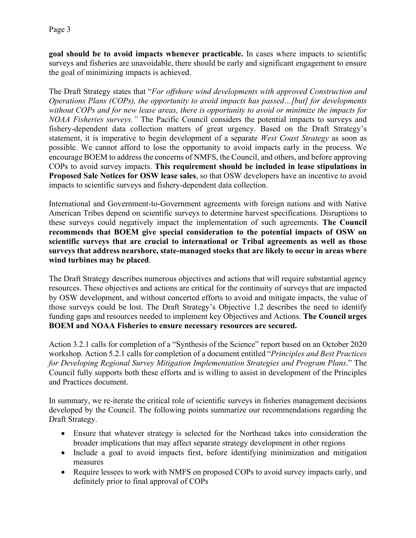**goal should be to avoid impacts whenever practicable.** In cases where impacts to scientific surveys and fisheries are unavoidable, there should be early and significant engagement to ensure the goal of minimizing impacts is achieved.

The Draft Strategy states that "*For offshore wind developments with approved Construction and Operations Plans (COPs), the opportunity to avoid impacts has passed…[but] for developments without COPs and for new lease areas, there is opportunity to avoid or minimize the impacts for NOAA Fisheries surveys."* The Pacific Council considers the potential impacts to surveys and fishery-dependent data collection matters of great urgency. Based on the Draft Strategy's statement, it is imperative to begin development of a separate *West Coast Strategy* as soon as possible. We cannot afford to lose the opportunity to avoid impacts early in the process. We encourage BOEM to address the concerns of NMFS, the Council, and others, and before approving COPs to avoid survey impacts. **This requirement should be included in lease stipulations in Proposed Sale Notices for OSW lease sales**, so that OSW developers have an incentive to avoid impacts to scientific surveys and fishery-dependent data collection.

International and Government-to-Government agreements with foreign nations and with Native American Tribes depend on scientific surveys to determine harvest specifications. Disruptions to these surveys could negatively impact the implementation of such agreements. **The Council recommends that BOEM give special consideration to the potential impacts of OSW on scientific surveys that are crucial to international or Tribal agreements as well as those surveys that address nearshore, state-managed stocks that are likely to occur in areas where wind turbines may be placed**.

The Draft Strategy describes numerous objectives and actions that will require substantial agency resources. These objectives and actions are critical for the continuity of surveys that are impacted by OSW development, and without concerted efforts to avoid and mitigate impacts, the value of those surveys could be lost. The Draft Strategy's Objective 1.2 describes the need to identify funding gaps and resources needed to implement key Objectives and Actions. **The Council urges BOEM and NOAA Fisheries to ensure necessary resources are secured.** 

Action 3.2.1 calls for completion of a "Synthesis of the Science" report based on an October 2020 workshop. Action 5.2.1 calls for completion of a document entitled "*Principles and Best Practices for Developing Regional Survey Mitigation Implementation Strategies and Program Plans*." The Council fully supports both these efforts and is willing to assist in development of the Principles and Practices document.

In summary, we re-iterate the critical role of scientific surveys in fisheries management decisions developed by the Council. The following points summarize our recommendations regarding the Draft Strategy.

- Ensure that whatever strategy is selected for the Northeast takes into consideration the broader implications that may affect separate strategy development in other regions
- Include a goal to avoid impacts first, before identifying minimization and mitigation measures
- Require lessees to work with NMFS on proposed COPs to avoid survey impacts early, and definitely prior to final approval of COPs